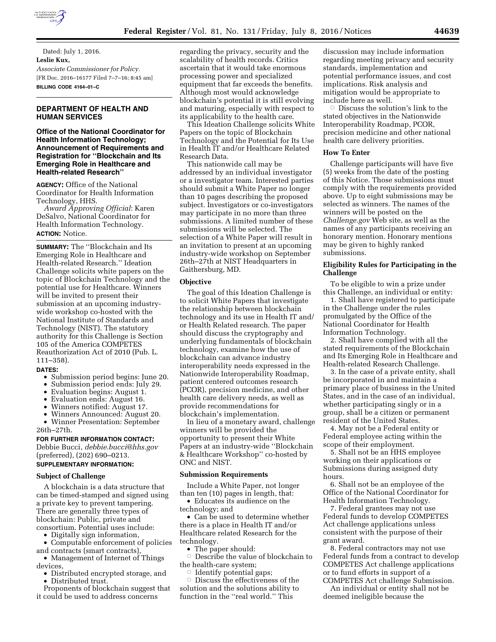

Dated: July 1, 2016. **Leslie Kux,**  *Associate Commissioner for Policy.*  [FR Doc. 2016–16177 Filed 7–7–16; 8:45 am] **BILLING CODE 4164–01–C** 

## **DEPARTMENT OF HEALTH AND HUMAN SERVICES**

## **Office of the National Coordinator for Health Information Technology; Announcement of Requirements and Registration for ''Blockchain and Its Emerging Role in Healthcare and Health-related Research''**

**AGENCY:** Office of the National Coordinator for Health Information Technology, HHS.

*Award Approving Official*: Karen DeSalvo, National Coordinator for Health Information Technology. **ACTION:** Notice.

# **SUMMARY:** The ''Blockchain and Its

Emerging Role in Healthcare and Health-related Research.'' Ideation Challenge solicits white papers on the topic of Blockchain Technology and the potential use for Healthcare. Winners will be invited to present their submission at an upcoming industrywide workshop co-hosted with the National Institute of Standards and Technology (NIST). The statutory authority for this Challenge is Section 105 of the America COMPETES Reauthorization Act of 2010 (Pub. L. 111–358).

## **DATES:**

- Submission period begins: June 20.
- Submission period ends: July 29.
- Evaluation begins: August 1.
- Evaluation ends: August 16.
- Winners notified: August 17.

• Winners Announced: August 20.

• Winner Presentation: September 26th–27th.

# **FOR FURTHER INFORMATION CONTACT:**

Debbie Bucci, *[debbie.bucci@hhs.gov](mailto:debbie.bucci@hhs.gov)*  (preferred), (202) 690–0213.

# **SUPPLEMENTARY INFORMATION:**

#### **Subject of Challenge**

A blockchain is a data structure that can be timed-stamped and signed using a private key to prevent tampering. There are generally three types of blockchain: Public, private and consortium. Potential uses include:

• Digitally sign information,

• Computable enforcement of policies and contracts (smart contracts),

• Management of Internet of Things devices,

• Distributed encrypted storage, and

• Distributed trust.

Proponents of blockchain suggest that it could be used to address concerns

regarding the privacy, security and the scalability of health records. Critics ascertain that it would take enormous processing power and specialized equipment that far exceeds the benefits. Although most would acknowledge blockchain's potential it is still evolving and maturing, especially with respect to its applicability to the health care.

This Ideation Challenge solicits White Papers on the topic of Blockchain Technology and the Potential for Its Use in Health IT and/or Healthcare Related Research Data.

This nationwide call may be addressed by an individual investigator or a investigator team. Interested parties should submit a White Paper no longer than 10 pages describing the proposed subject. Investigators or co-investigators may participate in no more than three submissions. A limited number of these submissions will be selected. The selection of a White Paper will result in an invitation to present at an upcoming industry-wide workshop on September 26th–27th at NIST Headquarters in Gaithersburg, MD.

## **Objective**

The goal of this Ideation Challenge is to solicit White Papers that investigate the relationship between blockchain technology and its use in Health IT and/ or Health Related research. The paper should discuss the cryptography and underlying fundamentals of blockchain technology, examine how the use of blockchain can advance industry interoperability needs expressed in the Nationwide Interoperability Roadmap, patient centered outcomes research (PCOR), precision medicine, and other health care delivery needs, as well as provide recommendations for blockchain's implementation.

In lieu of a monetary award, challenge winners will be provided the opportunity to present their White Papers at an industry-wide ''Blockchain & Healthcare Workshop'' co-hosted by ONC and NIST.

#### **Submission Requirements**

Include a White Paper, not longer than ten (10) pages in length, that:

• Educates its audience on the technology; and

• Can be used to determine whether there is a place in Health IT and/or Healthcare related Research for the technology.

• The paper should:

 $\circ$  Describe the value of blockchain to the health-care system;

 $\circ$  Identify potential gaps;

 $\circ$  Discuss the effectiveness of the solution and the solutions ability to function in the ''real world.'' This

discussion may include information regarding meeting privacy and security standards, implementation and potential performance issues, and cost implications. Risk analysis and mitigation would be appropriate to include here as well.

 $\circ$  Discuss the solution's link to the stated objectives in the Nationwide Interoperability Roadmap, PCOR, precision medicine and other national health care delivery priorities.

#### **How To Enter**

Challenge participants will have five (5) weeks from the date of the posting of this Notice. Those submissions must comply with the requirements provided above. Up to eight submissions may be selected as winners. The names of the winners will be posted on the *Challenge.gov* Web site, as well as the names of any participants receiving an honorary mention. Honorary mentions may be given to highly ranked submissions.

## **Eligibility Rules for Participating in the Challenge**

To be eligible to win a prize under this Challenge, an individual or entity:

1. Shall have registered to participate in the Challenge under the rules promulgated by the Office of the National Coordinator for Health Information Technology.

2. Shall have complied with all the stated requirements of the Blockchain and Its Emerging Role in Healthcare and Health-related Research Challenge.

3. In the case of a private entity, shall be incorporated in and maintain a primary place of business in the United States, and in the case of an individual, whether participating singly or in a group, shall be a citizen or permanent resident of the United States.

4. May not be a Federal entity or Federal employee acting within the scope of their employment.

5. Shall not be an HHS employee working on their applications or Submissions during assigned duty hours.

6. Shall not be an employee of the Office of the National Coordinator for Health Information Technology.

7. Federal grantees may not use Federal funds to develop COMPETES Act challenge applications unless consistent with the purpose of their grant award.

8. Federal contractors may not use Federal funds from a contract to develop COMPETES Act challenge applications or to fund efforts in support of a COMPETES Act challenge Submission.

An individual or entity shall not be deemed ineligible because the